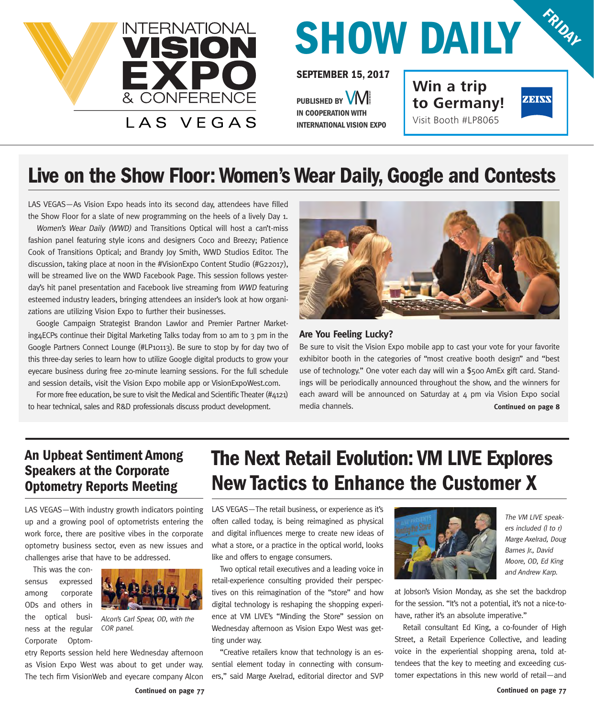

## **SHOW DAILY FRIDAY**

**SEPTEMBER 15, 2017**

PUBLISHED BY **WILLEN IN COOPERATION WITH INTERNATIONAL VISION EXPO** **Win a trip to Germany!** Visit Booth #LP8065



#### **Live on the Show Floor: Women's Wear Daily, Google and Contests**

LAS VEGAS—As Vision Expo heads into its second day, attendees have filled the Show Floor for a slate of new programming on the heels of a lively Day 1.

Women's Wear Daily (WWD) and Transitions Optical will host a can't-miss fashion panel featuring style icons and designers Coco and Breezy; Patience Cook of Transitions Optical; and Brandy Joy Smith, WWD Studios Editor. The discussion, taking place at noon in the #VisionExpo Content Studio (#G22017), will be streamed live on the WWD Facebook Page. This session follows yesterday's hit panel presentation and Facebook live streaming from WWD featuring esteemed industry leaders, bringing attendees an insider's look at how organizations are utilizing Vision Expo to further their businesses.

Google Campaign Strategist Brandon Lawlor and Premier Partner Marketing4ECPs continue their Digital Marketing Talks today from 10 am to 3 pm in the Google Partners Connect Lounge (#LP10113). Be sure to stop by for day two of this three-day series to learn how to utilize Google digital products to grow your eyecare business during free 20-minute learning sessions. For the full schedule and session details, visit the Vision Expo mobile app or VisionExpoWest.com.

For more free education, be sure to visit the Medical and Scientific Theater  $(\#4121)$ to hear technical, sales and R&D professionals discuss product development.



#### **Are You Feeling Lucky?**

Be sure to visit the Vision Expo mobile app to cast your vote for your favorite exhibitor booth in the categories of "most creative booth design" and "best use of technology." One voter each day will win a \$500 AmEx gift card. Standings will be periodically announced throughout the show, and the winners for each award will be announced on Saturday at 4 pm via Vision Expo social media channels. **Continued on page 8**

#### **An Upbeat Sentiment Among Speakers at the Corporate Optometry Reports Meeting**

LAS VEGAS—With industry growth indicators pointing up and a growing pool of optometrists entering the work force, there are positive vibes in the corporate optometry business sector, even as new issues and challenges arise that have to be addressed.

This was the consensus expressed among corporate ODs and others in the optical business at the regular Corporate Optom-



Alcon's Carl Spear, OD, with the COR panel.

etry Reports session held here Wednesday afternoon as Vision Expo West was about to get under way. The tech firm VisionWeb and eyecare company Alcon

#### **The Next Retail Evolution: VM LIVE Explores New Tactics to Enhance the Customer X**

LAS VEGAS—The retail business, or experience as it's often called today, is being reimagined as physical and digital influences merge to create new ideas of what a store, or a practice in the optical world, looks like and offers to engage consumers.

Two optical retail executives and a leading voice in retail-experience consulting provided their perspectives on this reimagination of the "store" and how digital technology is reshaping the shopping experience at VM LIVE's "Minding the Store" session on Wednesday afternoon as Vision Expo West was getting under way.

"Creative retailers know that technology is an essential element today in connecting with consumers," said Marge Axelrad, editorial director and SVP



The VM LIVE speakers included (l to r) Marge Axelrad, Doug Barnes Ir., David Moore, OD, Ed King and Andrew Karp.

at Jobson's Vision Monday, as she set the backdrop for the session. "It's not a potential, it's not a nice-tohave, rather it's an absolute imperative."

Retail consultant Ed King, a co-founder of High Street, a Retail Experience Collective, and leading voice in the experiential shopping arena, told attendees that the key to meeting and exceeding customer expectations in this new world of retail—and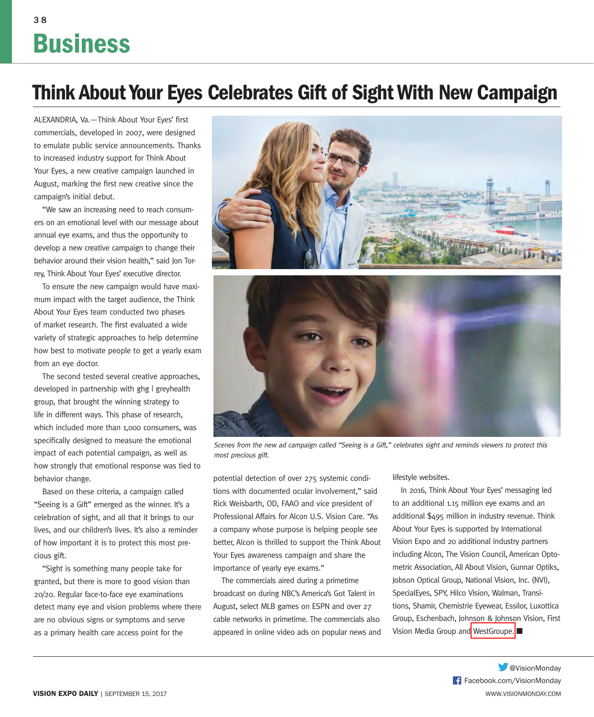### 3 8 **Business**

### **Think About Your Eyes Celebrates Gift of Sight With New Campaign**

ALEXANDRIA, Va. - Think About Your Eyes' first commercials, developed in 2007, were designed to emulate public service announcements. Thanks to increased industry support for Think About Your Eyes, a new creative campaign launched in August, marking the first new creative since the campaign's initial debut.

"We saw an increasing need to reach consumers on an emotional level with our message about annual eye exams, and thus the opportunity to develop a new creative campaign to change their behavior around their vision health," said Jon Torrey, Think About Your Eyes' executive director.

To ensure the new campaign would have maximum impact with the target audience, the Think About Your Eyes team conducted two phases of market research. The first evaluated a wide variety of strategic approaches to help determine how best to motivate people to get a yearly exam from an eye doctor.

The second tested several creative approaches, developed in partnership with ghg | greyhealth group, that brought the winning strategy to life in different ways. This phase of research, which included more than 1,000 consumers, was specifically designed to measure the emotional impact of each potential campaign, as well as how strongly that emotional response was tied to behavior change.

Based on these criteria, a campaign called "Seeing is a Gift" emerged as the winner. It's a celebration of sight, and all that it brings to our lives, and our children's lives. It's also a reminder of how important it is to protect this most precious gift.

"Sight is something many people take for granted, but there is more to good vision than 20/20. Regular face-to-face eye examinations detect many eye and vision problems where there are no obvious signs or symptoms and serve as a primary health care access point for the





Scenes from the new ad campaign called "Seeing is a Gift," celebrates sight and reminds viewers to protect this most precious gift.

potential detection of over 275 systemic conditions with documented ocular involvement," said Rick Weisbarth, OD, FAAO and vice president of Professional Affairs for Alcon U.S. Vision Care. "As a company whose purpose is helping people see better, Alcon is thrilled to support the Think About Your Eyes awareness campaign and share the importance of yearly eye exams."

The commercials aired during a primetime broadcast on during NBC's America's Got Talent in August, select MLB games on ESPN and over 27 cable networks in primetime. The commercials also appeared in online video ads on popular news and

#### lifestyle websites.

In 2016, Think About Your Eyes' messaging led to an additional 1.15 million eye exams and an additional \$495 million in industry revenue. Think About Your Eyes is supported by International Vision Expo and 20 additional industry partners including Alcon, The Vision Council, American Optometric Association, All About Vision, Gunnar Optiks, Jobson Optical Group, National Vision, Inc. (NVI), SpecialEyes, SPY, Hilco Vision, Walman, Transitions, Shamir, Chemistrie Eyewear, Essilor, Luxottica Group, Eschenbach, Johnson & Johnson Vision, First Vision Media Group and WestGroupe.

> Facebook.com/VisionMonday **W**eVisionMonday